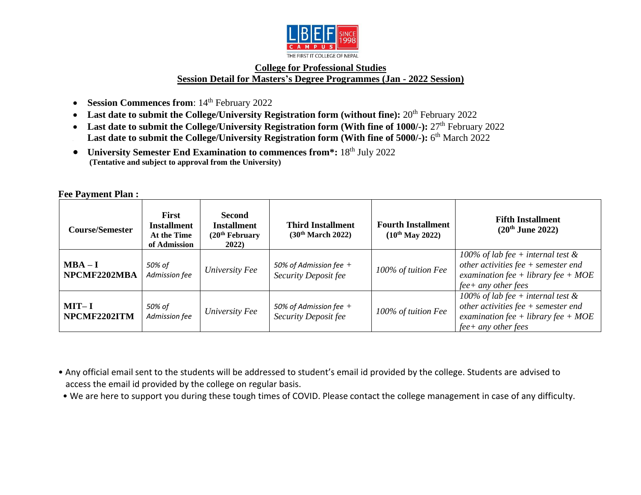

## **College for Professional Studies Session Detail for Masters's Degree Programmes (Jan - 2022 Session)**

- **Session Commences from**: 14<sup>th</sup> February 2022
- Last date to submit the College/University Registration form (without fine): 20<sup>th</sup> February 2022
- Last date to submit the College/University Registration form (With fine of 1000/-): 27<sup>th</sup> February 2022 **Last date to submit the College/University Registration form (With fine of 5000/-):** 6<sup>th</sup> March 2022
- **University Semester End Examination to commences from\*:** 18th July 2022 **(Tentative and subject to approval from the University)**

| <b>Course/Semester</b>    | <b>First</b><br><b>Installment</b><br>At the Time<br>of Admission | <b>Second</b><br><b>Installment</b><br>(20 <sup>th</sup> February<br>2022) | <b>Third Installment</b><br>(30 <sup>th</sup> March 2022) | <b>Fourth Installment</b><br>$(10^{th}$ May 2022) | <b>Fifth Installment</b><br>$(20^{th}$ June 2022)                                                                                               |
|---------------------------|-------------------------------------------------------------------|----------------------------------------------------------------------------|-----------------------------------------------------------|---------------------------------------------------|-------------------------------------------------------------------------------------------------------------------------------------------------|
| $MBA - I$<br>NPCMF2202MBA | 50% of<br>Admission fee                                           | University Fee                                                             | 50% of Admission fee $+$<br>Security Deposit fee          | 100% of tuition Fee                               | 100% of lab fee + internal test $\&$<br>other activities $fee + semester$<br>examination fee + library fee + $MOE$<br>$fee$ + any other fees    |
| $MIT-I$<br>NPCMF2202ITM   | 50% of<br>Admission fee                                           | University Fee                                                             | 50% of Admission fee $+$<br>Security Deposit fee          | 100% of tuition Fee                               | 100% of lab fee + internal test $\&$<br>other activities fee $+$ semester end<br>examination fee + library fee + $MOE$<br>$fee+$ any other fees |

• Any official email sent to the students will be addressed to student's email id provided by the college. Students are advised to access the email id provided by the college on regular basis.

• We are here to support you during these tough times of COVID. Please contact the college management in case of any difficulty.

**Fee Payment Plan :**